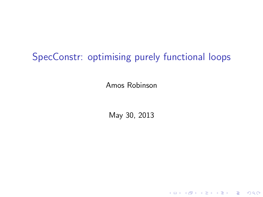# SpecConstr: optimising purely functional loops

Amos Robinson

May 30, 2013

K ロ X K (P) X (E) X (E) X (E) X (P) Q (P)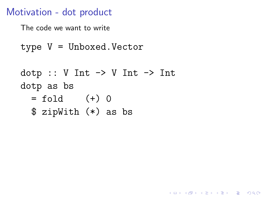The code we want to write

```
type V = Unboxed.Vector
```

```
dotp :: V Int \rightarrow V Int \rightarrow Int
dotp as bs
  = fold (+) 0
  $ zipWith (*) as bs
```
K ロ ▶ K @ ▶ K 할 ▶ K 할 ▶ 이 할 → 9 Q Q →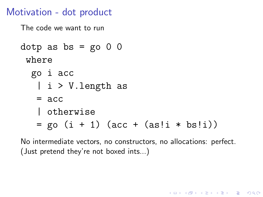The code we want to run

```
dotp as bs = go 0 0where
  go i acc
    | i > V.length as
   = acc| otherwise
   = go (i + 1) (\text{acc} + (\text{as}!i * \text{bs}!i))
```
No intermediate vectors, no constructors, no allocations: perfect. (Just pretend they're not boxed ints...)

**KORK ERKER ADE YOUR**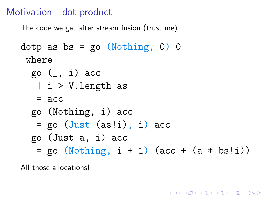The code we get after stream fusion (trust me)

dotp as bs = go (Nothing, 0) 0 where go (\_, i) acc | i > V.length as = acc go (Nothing, i) acc = go (Just (as!i), i) acc go (Just a, i) acc = go (Nothing, i + 1) (acc + (a \* bs!i))

K ロ ▶ K @ ▶ K 할 ▶ K 할 ▶ | 할 | © 9 Q @

All those allocations!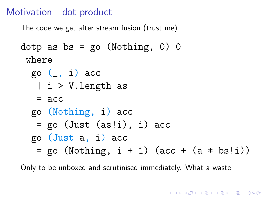The code we get after stream fusion (trust me)

dotp as bs = go (Nothing, 0) 0 where go (\_, i) acc | i > V.length as = acc go (Nothing, i) acc = go (Just (as!i), i) acc go (Just a, i) acc = go (Nothing, i + 1) (acc + (a \* bs!i))

Only to be unboxed and scrutinised immediately. What a waste.

**K ロ ▶ K 御 ▶ K 할 ▶ K 할 ▶ 이 할 → 이익단**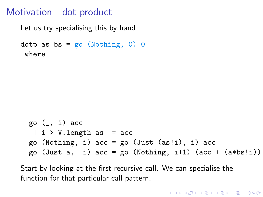Let us try specialising this by hand.

```
dotp as bs = go (Nothing, 0) 0where
```
go (\_, i) acc | i > V.length as = acc go (Nothing, i) acc = go (Just (as!i), i) acc go (Just a, i) acc = go (Nothing, i+1) (acc + (a\*bs!i))

Start by looking at the first recursive call. We can specialise the function for that particular call pattern.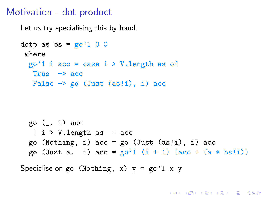Let us try specialising this by hand.

```
dotp as bs = \text{go'}1 0 0
 where
  go'1 i acc = case i > V.length as of
   True \rightarrow acc
   False \rightarrow go (Just (as!i), i) acc
```

```
go (, i) acc
 | i > V.length as = accgo (Nothing, i) acc = go (Just (as'i), i) acc
go (Just a, i) acc = go'1 (i + 1) (acc + (a * bs)1)
```
**KORK STRATER STRAKER** 

Specialise on go (Nothing, x)  $y = go'1 x y$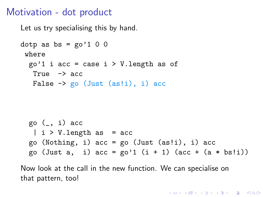```
Let us try specialising this by hand.
```

```
dotp as bs = go'1 0 0where
  go'1 i acc = case i > V.length as of
   True \rightarrow acc
   False \rightarrow go (Just (as'i), i) acc
```

$$
g_0 \left( \_, i \right)
$$
 acc  
\n $| i \rangle$  V.length as = acc  
\n $g_0 \left( \text{Nothing}, i \right)$  acc =  $g_0 \left( \text{Just (as!i)}, i \right)$  acc  
\n $g_0 \left( \text{Just a}, i \right)$  acc =  $g_0$ '1  $(i + 1) \left( \text{acc} + \left( \text{a} * \text{bs!i} \right) \right)$ 

Now look at the call in the new function. We can specialise on that pattern, too!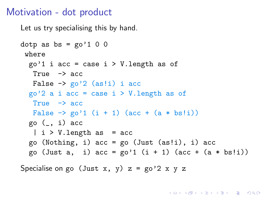```
Let us try specialising this by hand.
```

```
dotp as bs = go'1 \ 0 \ 0where
  go'1 i acc = case i > V.length as of
   True \rightarrow acc
   False \rightarrow go'2 (as!i) i acc
  go'2 a i acc = case i > V.length as of
   True -> acc
   False \rightarrow go'1 (i + 1) (acc + (a * bs!i))
  go (, i) acc
  | i \rangle V.length as = acc
  go (Nothing, i) acc = go (Just (as!i), i) acc
  go (Just a, i) acc = go'1 (i + 1) (acc + (a * bs!i))
```
Specialise on go (Just x, y)  $z = go'2 x y z$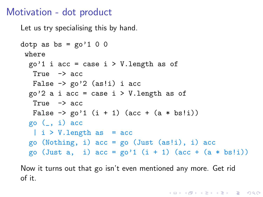Let us try specialising this by hand.

```
dotp as bs = go'1 \ 0 \ 0where
  go'1 i acc = case i > V.length as of
   True \rightarrow acc
   False \rightarrow go'2 (as!i) i acc
  go'2 a i acc = case i > V.length as of
   True -> acc
   False \rightarrow go'1 (i + 1) (acc + (a * bs!i))
  go (, i) acc
  \vert i > V.length as = acc
  go (Nothing, i) acc = go (Just (as!i), i) accgo (Just a, i) acc = go'1 (i + 1) (acc + (a * bs'i))
```
Now it turns out that go isn't even mentioned any more. Get rid of it.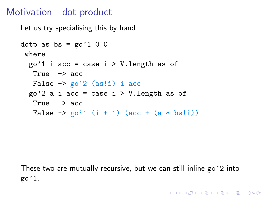Let us try specialising this by hand.

```
dotp as bs = go'1 \ 0 \ 0where
  go'1 i acc = case i > V.length as of
   True \rightarrow acc
   False \rightarrow go'2 (as!i) i acc
  go'2 a i acc = case i > V.length as of
   True -> acc
   False \rightarrow go'1 (i + 1) (acc + (a * bs!i))
```
These two are mutually recursive, but we can still inline go'2 into  $go'1$ .

**KORK STRATER STRAKER**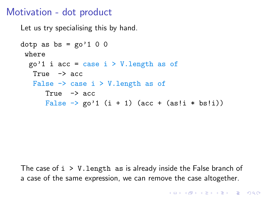Let us try specialising this by hand.

```
dotp as bs = go'1 \ 0 \ 0where
  go'1 i acc = case i > V.length as of
   True \rightarrow acc
   False \rightarrow case i > V. length as of
       True \rightarrow acc
       False \rightarrow go'1 (i + 1) (acc + (as!i * bs!i))
```
The case of  $i > V$ . length as is already inside the False branch of a case of the same expression, we can remove the case altogether.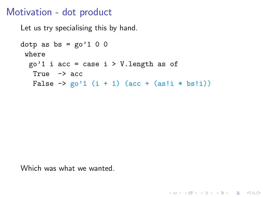Let us try specialising this by hand.

```
dotp as bs = go'1 \ 0 \ 0where
  go'1 i acc = case i > V.length as of
   True \rightarrow acc
   False \rightarrow go'1 (i + 1) (acc + (as!i * bs!i))
```
**KORK STRATER STRAKER** 

Which was what we wanted.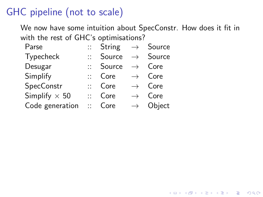# GHC pipeline (not to scale)

We now have some intuition about SpecConstr. How does it fit in with the rest of GHC's optimisations?

K ロ ▶ K @ ▶ K 할 > K 할 > 1 할 > 1 이익어

| Parse                |                 | $\therefore$ String $\rightarrow$ Source |                      |
|----------------------|-----------------|------------------------------------------|----------------------|
| Typecheck            |                 | :: Source                                | $\rightarrow$ Source |
| Desugar              |                 | :: Source                                | $\rightarrow$ Core   |
| Simplify             |                 | $\therefore$ Core                        | $\rightarrow$ Core   |
| SpecConstr           |                 | $\therefore$ Core                        | $\rightarrow$ Core   |
| Simplify $\times$ 50 |                 | $\therefore$ Core                        | $\rightarrow$ Core   |
| Code generation      | <b>Province</b> | Core                                     | $\rightarrow$ Object |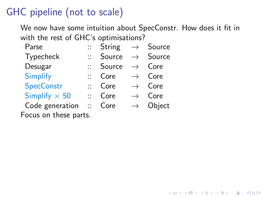# GHC pipeline (not to scale)

We now have some intuition about SpecConstr. How does it fit in with the rest of GHC's optimisations?

**K ロ ▶ K @ ▶ K 할 X X 할 X 및 할 X X Q Q O** 

| Parse                                                                                                           |          | $\therefore$ String $\rightarrow$ Source |  |                      |  |  |
|-----------------------------------------------------------------------------------------------------------------|----------|------------------------------------------|--|----------------------|--|--|
| Typecheck                                                                                                       | $11 - 1$ | Source $\rightarrow$ Source              |  |                      |  |  |
| Desugar                                                                                                         |          | $\therefore$ Source $\rightarrow$ Core   |  |                      |  |  |
| Simplify                                                                                                        |          | $\therefore$ Core                        |  | $\rightarrow$ Core   |  |  |
| <b>SpecConstr</b>                                                                                               |          | $\therefore$ Core                        |  | $\rightarrow$ Core   |  |  |
| Simplify $\times$ 50                                                                                            |          | $\therefore$ Core                        |  | $\rightarrow$ Core   |  |  |
| Code generation                                                                                                 |          | $\therefore$ Core                        |  | $\rightarrow$ Object |  |  |
| the contract of the contract of the contract of the contract of the contract of the contract of the contract of |          |                                          |  |                      |  |  |

Focus on these parts.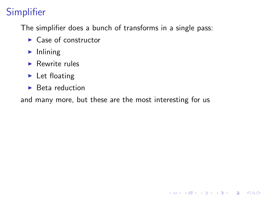The simplifier does a bunch of transforms in a single pass:

- $\blacktriangleright$  Case of constructor
- $\blacktriangleright$  Inlining
- $\blacktriangleright$  Rewrite rules
- $\blacktriangleright$  Let floating
- $\blacktriangleright$  Beta reduction

and many more, but these are the most interesting for us

K ロ ▶ K @ ▶ K 할 > K 할 > 1 할 > 1 이익어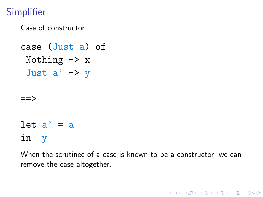Case of constructor

case (Just a) of Nothing  $\rightarrow x$ Just  $a' \rightarrow y$ 

==>

### let  $a' = a$ in y

When the scrutinee of a case is known to be a constructor, we can remove the case altogether.

**KORK STRATER STRAKER**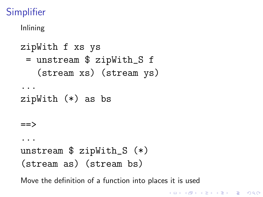#### Inlining

```
zipWith f xs ys
 = unstream $ zipWith_S f
   (stream xs) (stream ys)
...
zipWith (*) as bs
==...
unstream $ zipWith_S (*)
```

```
(stream as) (stream bs)
```
Move the definition of a function into places it is used

**KORK ERKER ADE YOUR**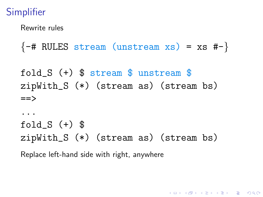Rewrite rules

 ${-#$  RULES stream (unstream xs) = xs #-}

fold  $S$  (+)  $\frac{1}{2}$  stream  $\frac{1}{2}$  unstream  $\frac{1}{2}$ zipWith\_S (\*) (stream as) (stream bs)  $==$ 

... fold  $S$  (+)  $$$ zipWith\_S (\*) (stream as) (stream bs)

**KORK ERKER ADE YOUR** 

Replace left-hand side with right, anywhere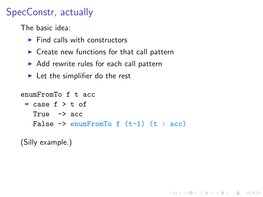The basic idea:

- $\blacktriangleright$  Find calls with constructors
- $\triangleright$  Create new functions for that call pattern
- $\triangleright$  Add rewrite rules for each call pattern
- $\blacktriangleright$  Let the simplifier do the rest

enumFromTo f t acc  $=$  case  $f > t$  of True  $\rightarrow$  acc False  $\rightarrow$  enumFromTo f  $(t-1)$   $(t : acc)$ 

K ロ ▶ K @ ▶ K 할 ▶ K 할 ▶ 이 할 → 9 Q @

(Silly example.)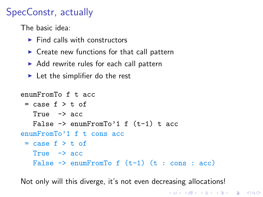The basic idea:

- $\blacktriangleright$  Find calls with constructors
- $\triangleright$  Create new functions for that call pattern
- $\triangleright$  Add rewrite rules for each call pattern
- $\blacktriangleright$  Let the simplifier do the rest

```
enumFromTo f t acc
 = case f > t of
   True \rightarrow acc
   False \rightarrow enumFromTo'1 f (t-1) t acc
enumFromTo'1 f t cons acc
 = case f > t of
   True \rightarrow acc
   False \rightarrow enumFromTo f (t-1) (t : const : acc)
```
Not only will this diverge, it's not even decreasing allocations!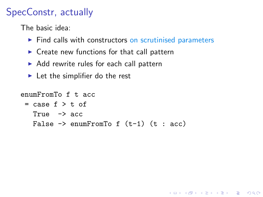The basic idea:

 $\triangleright$  Find calls with constructors on scrutinised parameters

K ロ ▶ K @ ▶ K 할 ▶ K 할 ▶ 이 할 → 9 Q @

- $\triangleright$  Create new functions for that call pattern
- $\triangleright$  Add rewrite rules for each call pattern
- $\blacktriangleright$  Let the simplifier do the rest

enumFromTo f t acc  $=$  case  $f > t$  of True  $\rightarrow$  acc False  $\rightarrow$  enumFromTo f  $(t-1)$   $(t : acc)$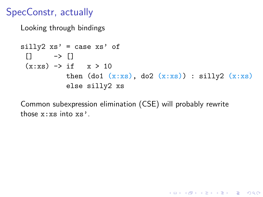```
Looking through bindings
```

```
silly2 xs' = case xs' of\Box \rightarrow \Box(x:xs) \rightarrow if \quad x > 10then (dof(x:xs), do2(x:xs)): silly2 (x:xs)else silly2 xs
```
**KORK STRATER STRAKER** 

Common subexpression elimination (CSE) will probably rewrite those x:xs into xs'.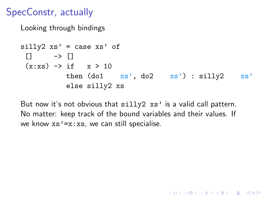```
Looking through bindings
```

```
silly2 xs' = case xs' of\Box \rightarrow \Box(x:xs) \rightarrow if \quad x > 10then (dof xs', do2 xs') : silly2 xs'else silly2 xs
```
But now it's not obvious that  $silly2 xs'$  is a valid call pattern. No matter: keep track of the bound variables and their values. If we know  $xs' = x:xs$ , we can still specialise.

**KORK ERKER ADE YOUR**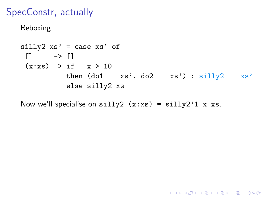Reboxing

```
silly2 xs' = case xs' of\Box \rightarrow \Box(x:xs) \rightarrow if \quad x > 10then (dof xs', do2 xs') : silly2 xs'else silly2 xs
```
K ロ ▶ K @ ▶ K 할 > K 할 > 1 할 > 1 이익어

Now we'll specialise on  $silly2(x:xs) = silly2'1x xs$ .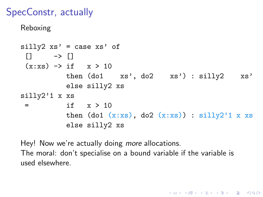Reboxing

```
silly2 xs' = case xs' of\Box -> \Box(x:xs) \rightarrow if \quad x > 10then (do1 xs', do2 xs') : silly2 xs'
          else silly2 xs
silly2'1 x xs
 = if x > 10then (dof(x:xs), do2(x:xs)): silly2'1 x xs
          else silly2 xs
```
Hey! Now we're actually doing *more* allocations. The moral: don't specialise on a bound variable if the variable is used elsewhere.

**KORK ERKER ADE YOUR**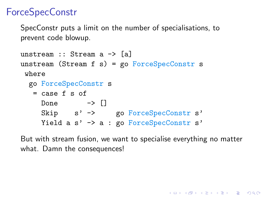# ForceSpecConstr

SpecConstr puts a limit on the number of specialisations, to prevent code blowup.

```
unstream :: Stream a -> [a]
unstream (Stream f(s) = go ForceSpecConstructswhere
  go ForceSpecConstr s
  = case f s of
     Done \rightarrow []
     Skip s' -> go ForceSpecConstr s'
     Yield a s' -> a : go ForceSpecConstr s'
```
But with stream fusion, we want to specialise everything no matter what. Damn the consequences!

4 D > 4 P + 4 B + 4 B + B + 9 Q O